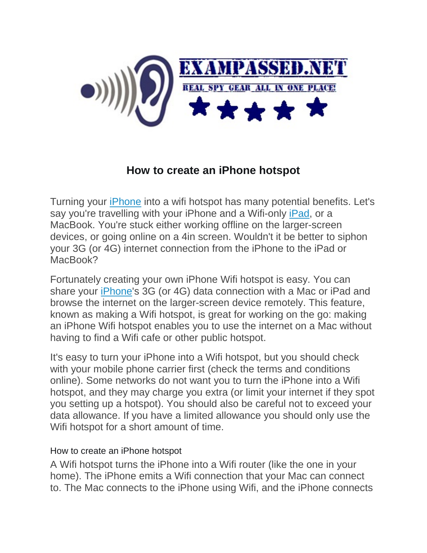

## **How to create an iPhone hotspot**

Turning your [iPhone](http://www.macworld.co.uk/review/iphone/) into a wifi hotspot has many potential benefits. Let's say you're travelling with your iPhone and a Wifi-only [iPad,](http://www.macworld.co.uk/review/ipad/) or a MacBook. You're stuck either working offline on the larger-screen devices, or going online on a 4in screen. Wouldn't it be better to siphon your 3G (or 4G) internet connection from the iPhone to the iPad or MacBook?

Fortunately creating your own iPhone Wifi hotspot is easy. You can share your [iPhone'](http://www.macworld.co.uk/review/iphone/)s 3G (or 4G) data connection with a Mac or iPad and browse the internet on the larger-screen device remotely. This feature, known as making a Wifi hotspot, is great for working on the go: making an iPhone Wifi hotspot enables you to use the internet on a Mac without having to find a Wifi cafe or other public hotspot.

It's easy to turn your iPhone into a Wifi hotspot, but you should check with your mobile phone carrier first (check the terms and conditions online). Some networks do not want you to turn the iPhone into a Wifi hotspot, and they may charge you extra (or limit your internet if they spot you setting up a hotspot). You should also be careful not to exceed your data allowance. If you have a limited allowance you should only use the Wifi hotspot for a short amount of time.

## How to create an iPhone hotspot

A Wifi hotspot turns the iPhone into a Wifi router (like the one in your home). The iPhone emits a Wifi connection that your Mac can connect to. The Mac connects to the iPhone using Wifi, and the iPhone connects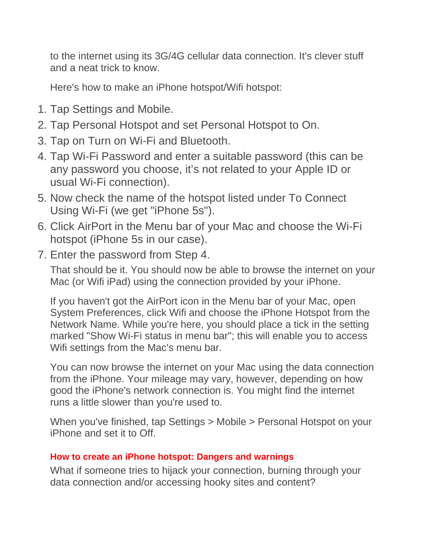to the internet using its 3G/4G cellular data connection. It's clever stuff and a neat trick to know.

Here's how to make an iPhone hotspot/Wifi hotspot:

- 1. Tap Settings and Mobile.
- 2. Tap Personal Hotspot and set Personal Hotspot to On.
- 3. Tap on Turn on Wi-Fi and Bluetooth.
- 4. Tap Wi-Fi Password and enter a suitable password (this can be any password you choose, it's not related to your Apple ID or usual Wi-Fi connection).
- 5. Now check the name of the hotspot listed under To Connect Using Wi-Fi (we get "iPhone 5s").
- 6. Click AirPort in the Menu bar of your Mac and choose the Wi-Fi hotspot (iPhone 5s in our case).
- 7. Enter the password from Step 4.

That should be it. You should now be able to browse the internet on your Mac (or Wifi iPad) using the connection provided by your iPhone.

If you haven't got the AirPort icon in the Menu bar of your Mac, open System Preferences, click Wifi and choose the iPhone Hotspot from the Network Name. While you're here, you should place a tick in the setting marked "Show Wi-Fi status in menu bar"; this will enable you to access Wifi settings from the Mac's menu bar.

You can now browse the internet on your Mac using the data connection from the iPhone. Your mileage may vary, however, depending on how good the iPhone's network connection is. You might find the internet runs a little slower than you're used to.

When you've finished, tap Settings > Mobile > Personal Hotspot on your iPhone and set it to Off.

## **How to create an iPhone hotspot: Dangers and warnings**

What if someone tries to hijack your connection, burning through your data connection and/or accessing hooky sites and content?